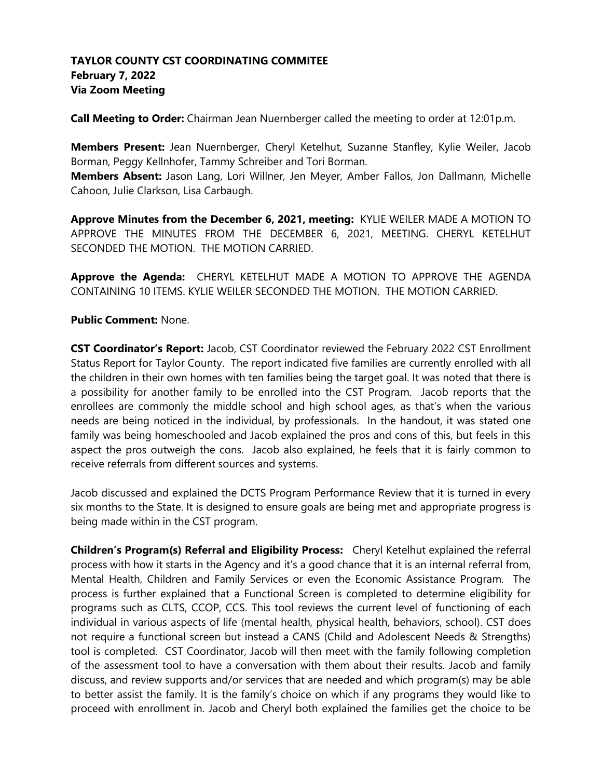## **TAYLOR COUNTY CST COORDINATING COMMITEE February 7, 2022 Via Zoom Meeting**

**Call Meeting to Order:** Chairman Jean Nuernberger called the meeting to order at 12:01p.m.

**Members Present:** Jean Nuernberger, Cheryl Ketelhut, Suzanne Stanfley, Kylie Weiler, Jacob Borman, Peggy Kellnhofer, Tammy Schreiber and Tori Borman.

**Members Absent:** Jason Lang, Lori Willner, Jen Meyer, Amber Fallos, Jon Dallmann, Michelle Cahoon, Julie Clarkson, Lisa Carbaugh.

**Approve Minutes from the December 6, 2021, meeting:** KYLIE WEILER MADE A MOTION TO APPROVE THE MINUTES FROM THE DECEMBER 6, 2021, MEETING. CHERYL KETELHUT SECONDED THE MOTION. THE MOTION CARRIED.

**Approve the Agenda:** CHERYL KETELHUT MADE A MOTION TO APPROVE THE AGENDA CONTAINING 10 ITEMS. KYLIE WEILER SECONDED THE MOTION. THE MOTION CARRIED.

## **Public Comment:** None.

**CST Coordinator's Report:** Jacob, CST Coordinator reviewed the February 2022 CST Enrollment Status Report for Taylor County. The report indicated five families are currently enrolled with all the children in their own homes with ten families being the target goal. It was noted that there is a possibility for another family to be enrolled into the CST Program. Jacob reports that the enrollees are commonly the middle school and high school ages, as that's when the various needs are being noticed in the individual, by professionals. In the handout, it was stated one family was being homeschooled and Jacob explained the pros and cons of this, but feels in this aspect the pros outweigh the cons. Jacob also explained, he feels that it is fairly common to receive referrals from different sources and systems.

Jacob discussed and explained the DCTS Program Performance Review that it is turned in every six months to the State. It is designed to ensure goals are being met and appropriate progress is being made within in the CST program.

**Children's Program(s) Referral and Eligibility Process:** Cheryl Ketelhut explained the referral process with how it starts in the Agency and it's a good chance that it is an internal referral from, Mental Health, Children and Family Services or even the Economic Assistance Program. The process is further explained that a Functional Screen is completed to determine eligibility for programs such as CLTS, CCOP, CCS. This tool reviews the current level of functioning of each individual in various aspects of life (mental health, physical health, behaviors, school). CST does not require a functional screen but instead a CANS (Child and Adolescent Needs & Strengths) tool is completed. CST Coordinator, Jacob will then meet with the family following completion of the assessment tool to have a conversation with them about their results. Jacob and family discuss, and review supports and/or services that are needed and which program(s) may be able to better assist the family. It is the family's choice on which if any programs they would like to proceed with enrollment in. Jacob and Cheryl both explained the families get the choice to be